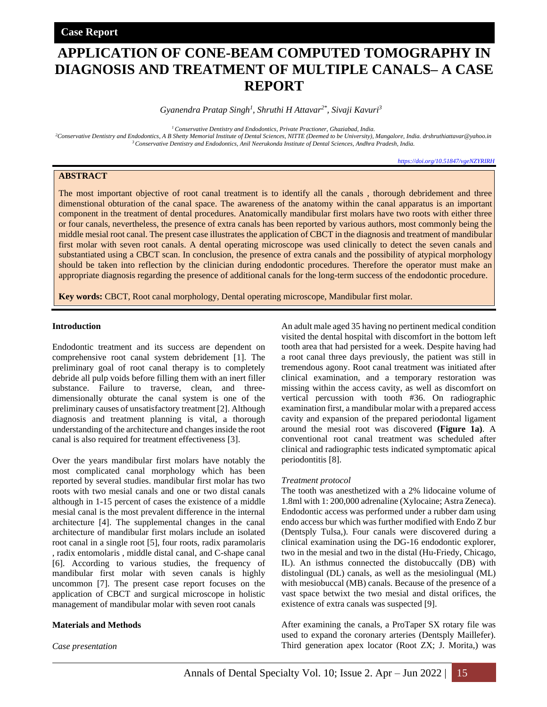# **APPLICATION OF CONE-BEAM COMPUTED TOMOGRAPHY IN DIAGNOSIS AND TREATMENT OF MULTIPLE CANALS– A CASE REPORT**

*Gyanendra Pratap Singh<sup>1</sup> , Shruthi H Attavar2\* , Sivaji Kavuri<sup>3</sup>*

*<sup>1</sup>Conservative Dentistry and Endodontics, Private Practioner, Ghaziabad, India.*

*<sup>2</sup>Conservative Dentistry and Endodontics, A B Shetty Memorial Institute of Dental Sciences, NITTE (Deemed to be University), Mangalore, India. drshruthiattavar@yahoo.in <sup>3</sup>Conservative Dentistry and Endodontics, Anil Neerukonda Institute of Dental Sciences, Andhra Pradesh, India.*

*<https://doi.org/10.51847/vgeNZYRIRH>*

## **ABSTRACT**

The most important objective of root canal treatment is to identify all the canals , thorough debridement and three dimenstional obturation of the canal space. The awareness of the anatomy within the canal apparatus is an important component in the treatment of dental procedures. Anatomically mandibular first molars have two roots with either three or four canals, nevertheless, the presence of extra canals has been reported by various authors, most commonly being the middle mesial root canal. The present case illustrates the application of CBCT in the diagnosis and treatment of mandibular first molar with seven root canals. A dental operating microscope was used clinically to detect the seven canals and substantiated using a CBCT scan. In conclusion, the presence of extra canals and the possibility of atypical morphology should be taken into reflection by the clinician during endodontic procedures. Therefore the operator must make an appropriate diagnosis regarding the presence of additional canals for the long-term success of the endodontic procedure.

**Key words:** CBCT, Root canal morphology, Dental operating microscope, Mandibular first molar.

## **Introduction**

Endodontic treatment and its success are dependent on comprehensive root canal system debridement [1]. The preliminary goal of root canal therapy is to completely debride all pulp voids before filling them with an inert filler substance. Failure to traverse, clean, and threedimensionally obturate the canal system is one of the preliminary causes of unsatisfactory treatment [2]. Although diagnosis and treatment planning is vital, a thorough understanding of the architecture and changes inside the root canal is also required for treatment effectiveness [3].

Over the years mandibular first molars have notably the most complicated canal morphology which has been reported by several studies. mandibular first molar has two roots with two mesial canals and one or two distal canals although in 1-15 percent of cases the existence of a middle mesial canal is the most prevalent difference in the internal architecture [4]. The supplemental changes in the canal architecture of mandibular first molars include an isolated root canal in a single root [5], four roots, radix paramolaris , radix entomolaris , middle distal canal, and C-shape canal [6]. According to various studies, the frequency of mandibular first molar with seven canals is highly uncommon [7]. The present case report focuses on the application of CBCT and surgical microscope in holistic management of mandibular molar with seven root canals

## **Materials and Methods**

*Case presentation* 

An adult male aged 35 having no pertinent medical condition visited the dental hospital with discomfort in the bottom left tooth area that had persisted for a week. Despite having had a root canal three days previously, the patient was still in tremendous agony. Root canal treatment was initiated after clinical examination, and a temporary restoration was missing within the access cavity, as well as discomfort on vertical percussion with tooth #36. On radiographic examination first, a mandibular molar with a prepared access cavity and expansion of the prepared periodontal ligament around the mesial root was discovered **(Figure 1a)**. A conventional root canal treatment was scheduled after clinical and radiographic tests indicated symptomatic apical periodontitis [8].

#### *Treatment protocol*

The tooth was anesthetized with a 2% lidocaine volume of 1.8ml with 1: 200,000 adrenaline (Xylocaine; Astra Zeneca). Endodontic access was performed under a rubber dam using endo access bur which was further modified with Endo Z bur (Dentsply Tulsa,). Four canals were discovered during a clinical examination using the DG-16 endodontic explorer, two in the mesial and two in the distal (Hu-Friedy, Chicago, IL). An isthmus connected the distobuccally (DB) with distolingual (DL) canals, as well as the mesiolingual (ML) with mesiobuccal (MB) canals. Because of the presence of a vast space betwixt the two mesial and distal orifices, the existence of extra canals was suspected [9].

After examining the canals, a ProTaper SX rotary file was used to expand the coronary arteries (Dentsply Maillefer). Third generation apex locator (Root ZX; J. Morita,) was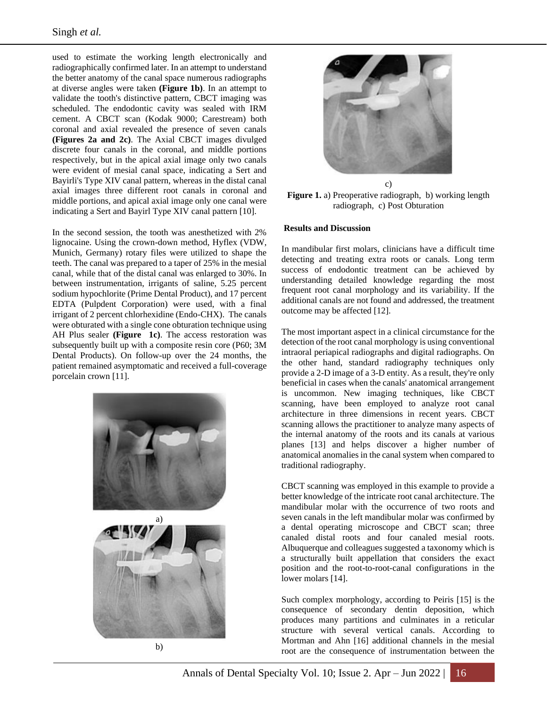used to estimate the working length electronically and radiographically confirmed later. In an attempt to understand the better anatomy of the canal space numerous radiographs at diverse angles were taken **(Figure 1b)**. In an attempt to validate the tooth's distinctive pattern, CBCT imaging was scheduled. The endodontic cavity was sealed with IRM cement. A CBCT scan (Kodak 9000; Carestream) both coronal and axial revealed the presence of seven canals **(Figures 2a and 2c)**. The Axial CBCT images divulged discrete four canals in the coronal, and middle portions respectively, but in the apical axial image only two canals were evident of mesial canal space, indicating a Sert and Bayirli's Type XIV canal pattern, whereas in the distal canal axial images three different root canals in coronal and middle portions, and apical axial image only one canal were indicating a Sert and Bayirl Type XIV canal pattern [10].

In the second session, the tooth was anesthetized with 2% lignocaine. Using the crown-down method, Hyflex (VDW, Munich, Germany) rotary files were utilized to shape the teeth. The canal was prepared to a taper of 25% in the mesial canal, while that of the distal canal was enlarged to 30%. In between instrumentation, irrigants of saline, 5.25 percent sodium hypochlorite (Prime Dental Product), and 17 percent EDTA (Pulpdent Corporation) were used, with a final irrigant of 2 percent chlorhexidine (Endo-CHX). The canals were obturated with a single cone obturation technique using AH Plus sealer **(Figure 1c)**. The access restoration was subsequently built up with a composite resin core (P60; 3M Dental Products). On follow-up over the 24 months, the patient remained asymptomatic and received a full-coverage porcelain crown [11].







**Figure 1.** a) Preoperative radiograph, b) working length radiograph, c) Post Obturation

## **Results and Discussion**

In mandibular first molars, clinicians have a difficult time detecting and treating extra roots or canals. Long term success of endodontic treatment can be achieved by understanding detailed knowledge regarding the most frequent root canal morphology and its variability. If the additional canals are not found and addressed, the treatment outcome may be affected [12].

The most important aspect in a clinical circumstance for the detection of the root canal morphology is using conventional intraoral periapical radiographs and digital radiographs. On the other hand, standard radiography techniques only provide a 2-D image of a 3-D entity. As a result, they're only beneficial in cases when the canals' anatomical arrangement is uncommon. New imaging techniques, like CBCT scanning, have been employed to analyze root canal architecture in three dimensions in recent years. CBCT scanning allows the practitioner to analyze many aspects of the internal anatomy of the roots and its canals at various planes [13] and helps discover a higher number of anatomical anomalies in the canal system when compared to traditional radiography.

CBCT scanning was employed in this example to provide a better knowledge of the intricate root canal architecture. The mandibular molar with the occurrence of two roots and seven canals in the left mandibular molar was confirmed by a dental operating microscope and CBCT scan; three canaled distal roots and four canaled mesial roots. Albuquerque and colleagues suggested a taxonomy which is a structurally built appellation that considers the exact position and the root-to-root-canal configurations in the lower molars [14].

Such complex morphology, according to Peiris [15] is the consequence of secondary dentin deposition, which produces many partitions and culminates in a reticular structure with several vertical canals. According to Mortman and Ahn [16] additional channels in the mesial root are the consequence of instrumentation between the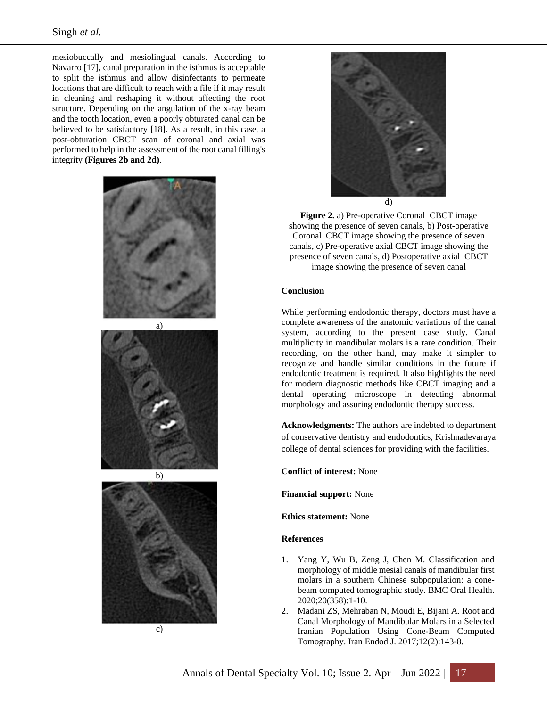mesiobuccally and mesiolingual canals. According to Navarro [17], canal preparation in the isthmus is acceptable to split the isthmus and allow disinfectants to permeate locations that are difficult to reach with a file if it may result in cleaning and reshaping it without affecting the root structure. Depending on the angulation of the x-ray beam and the tooth location, even a poorly obturated canal can be believed to be satisfactory [18]. As a result, in this case, a post-obturation CBCT scan of coronal and axial was performed to help in the assessment of the root canal filling's integrity **(Figures 2b and 2d)**.







**Figure 2.** a) Pre-operative Coronal CBCT image showing the presence of seven canals, b) Post-operative Coronal CBCT image showing the presence of seven canals, c) Pre-operative axial CBCT image showing the presence of seven canals, d) Postoperative axial CBCT image showing the presence of seven canal

## **Conclusion**

While performing endodontic therapy, doctors must have a complete awareness of the anatomic variations of the canal system, according to the present case study. Canal multiplicity in mandibular molars is a rare condition. Their recording, on the other hand, may make it simpler to recognize and handle similar conditions in the future if endodontic treatment is required. It also highlights the need for modern diagnostic methods like CBCT imaging and a dental operating microscope in detecting abnormal morphology and assuring endodontic therapy success.

**Acknowledgments:** The authors are indebted to department of conservative dentistry and endodontics, Krishnadevaraya college of dental sciences for providing with the facilities.

**Conflict of interest:** None

**Financial support:** None

**Ethics statement:** None

## **References**

- 1. Yang Y, Wu B, Zeng J, Chen M. Classification and morphology of middle mesial canals of mandibular first molars in a southern Chinese subpopulation: a conebeam computed tomographic study. BMC Oral Health. 2020;20(358):1-10.
- 2. Madani ZS, Mehraban N, Moudi E, Bijani A. Root and Canal Morphology of Mandibular Molars in a Selected Iranian Population Using Cone-Beam Computed Tomography. Iran Endod J. 2017;12(2):143-8.